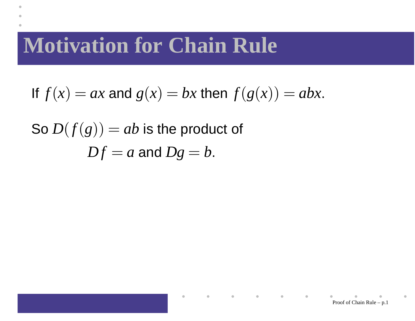## **Motivation for Chain Rule**

If 
$$
f(x) = ax
$$
 and  $g(x) = bx$  then  $f(g(x)) = abx$ .

So  $D(f(g)) = ab$  is the product of  $\boldsymbol{D}f$  :  $=a$  and  $Dg$  $= b.$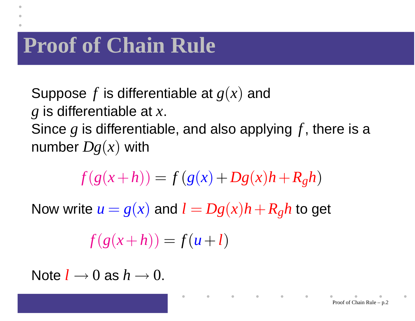## **Proof of Chain Rule**

- Suppose*f* is differentiable at *g*(*x*) and
- *g* is differentiable at *x*.
- Since*g* is differentiable, and also applying*f* , there is <sup>a</sup>number *Dg*(*x*) with

$$
f(g(x+h)) = f(g(x) + Dg(x)h + R_gh)
$$

Now write  $u=g(x)$  and  $l=$  $Dg(x)h + R$ *gh* to get

$$
f(g(x+h)) = f(u+l)
$$

Note*l*→0 as *h*→0.